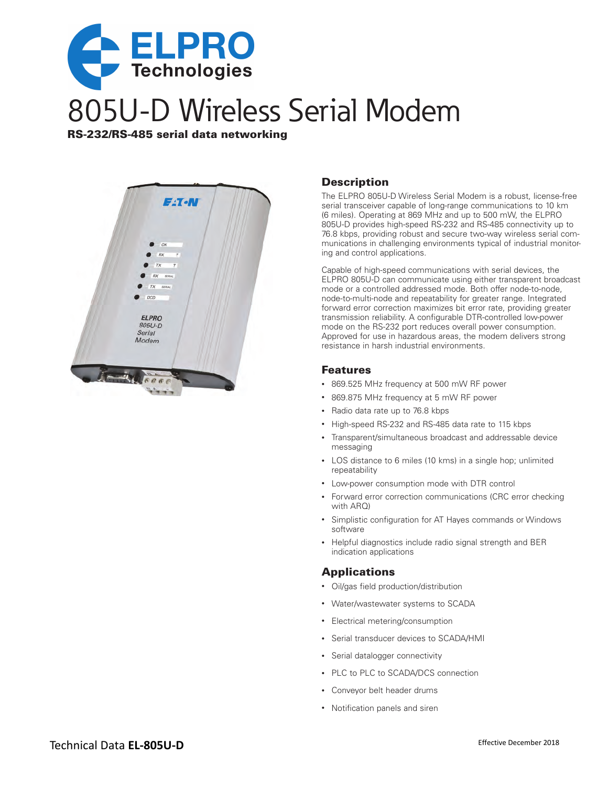

# 805U-D Wireless Serial Modem

RS-232/RS-485 serial data networking

#### **Description**

The ELPRO 805U-D Wireless Serial Modem is a robust, license-free serial transceiver capable of long-range communications to 10 km (6 miles). Operating at 869 MHz and up to 500 mW, the ELPRO 805U-D provides high-speed RS-232 and RS-485 connectivity up to 76.8 kbps, providing robust and secure two-way wireless serial communications in challenging environments typical of industrial monitoring and control applications.

Capable of high-speed communications with serial devices, the ELPRO 805U-D can communicate using either transparent broadcast mode or a controlled addressed mode. Both offer node-to-node, node-to-multi-node and repeatability for greater range. Integrated forward error correction maximizes bit error rate, providing greater transmission reliability. A configurable DTR-controlled low-power mode on the RS-232 port reduces overall power consumption. Approved for use in hazardous areas, the modem delivers strong resistance in harsh industrial environments.

#### Features

- 869.525 MHz frequency at 500 mW RF power
- • 869.875 MHz frequency at 5 mW RF power
- • Radio data rate up to 76.8 kbps
- High-speed RS-232 and RS-485 data rate to 115 kbps
- • Transparent/simultaneous broadcast and addressable device messaging
- LOS distance to 6 miles (10 kms) in a single hop; unlimited repeatability
- • Low-power consumption mode with DTR control
- Forward error correction communications (CRC error checking with ARO)
- • Simplistic configuration for AT Hayes commands or Windows software
- Helpful diagnostics include radio signal strength and BER indication applications

#### Applications

- Oil/gas field production/distribution
- • Water/wastewater systems to SCADA
- • Electrical metering/consumption
- • Serial transducer devices to SCADA/HMI
- • Serial datalogger connectivity
- PLC to PLC to SCADA/DCS connection
- • Conveyor belt header drums
- • Notification panels and siren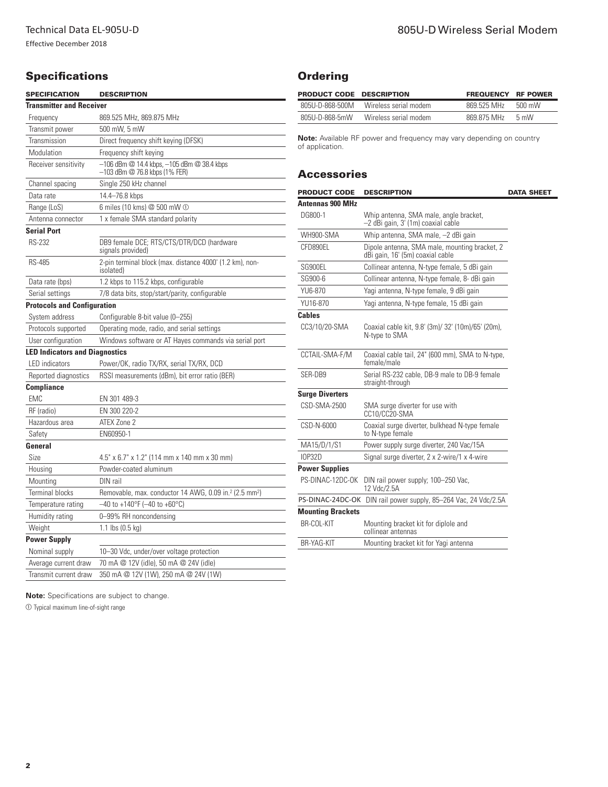# **Specifications**

| <b>SPECIFICATION</b>                  | <b>DESCRIPTION</b>                                                                  |
|---------------------------------------|-------------------------------------------------------------------------------------|
| <b>Transmitter and Receiver</b>       |                                                                                     |
| Frequency                             | 869.525 MHz, 869.875 MHz                                                            |
| Transmit power                        | 500 mW, 5 mW                                                                        |
| Transmission                          | Direct frequency shift keying (DFSK)                                                |
| Modulation                            | Frequency shift keying                                                              |
| Receiver sensitivity                  | $-106$ dBm $@$ 14.4 kbps, $-105$ dBm $@$ 38.4 kbps<br>-103 dBm @ 76.8 kbps (1% FER) |
| Channel spacing                       | Single 250 kHz channel                                                              |
| Data rate                             | 14.4-76.8 kbps                                                                      |
| Range (LoS)                           | 6 miles (10 kms) @ 500 mW ①                                                         |
| Antenna connector                     | 1 x female SMA standard polarity                                                    |
| <b>Serial Port</b>                    |                                                                                     |
| RS-232                                | DB9 female DCE; RTS/CTS/DTR/DCD (hardware<br>signals provided)                      |
| <b>RS-485</b>                         | 2-pin terminal block (max. distance 4000' (1.2 km), non-<br>isolated)               |
| Data rate (bps)                       | 1.2 kbps to 115.2 kbps, configurable                                                |
| Serial settings                       | 7/8 data bits, stop/start/parity, configurable                                      |
| <b>Protocols and Configuration</b>    |                                                                                     |
| System address                        | Configurable 8-bit value (0–255)                                                    |
| Protocols supported                   | Operating mode, radio, and serial settings                                          |
| User configuration                    | Windows software or AT Hayes commands via serial port                               |
| <b>LED Indicators and Diagnostics</b> |                                                                                     |
| <b>LED</b> indicators                 | Power/OK, radio TX/RX, serial TX/RX, DCD                                            |
| Reported diagnostics                  | RSSI measurements (dBm), bit error ratio (BER)                                      |
| <b>Compliance</b>                     |                                                                                     |
| <b>EMC</b>                            | EN 301 489-3                                                                        |
| RF (radio)                            | EN 300 220-2                                                                        |
| Hazardous area                        | ATEX Zone 2                                                                         |
| Safety                                | EN60950-1                                                                           |
| General                               |                                                                                     |
| Size                                  | 4.5" x 6.7" x 1.2" (114 mm x 140 mm x 30 mm)                                        |
| Housing                               | Powder-coated aluminum                                                              |
| Mounting                              | DIN rail                                                                            |
| <b>Terminal blocks</b>                | Removable, max. conductor 14 AWG, 0.09 in. <sup>2</sup> (2.5 mm <sup>2</sup> )      |
| Temperature rating                    | $-40$ to +140°F (-40 to +60°C)                                                      |
| Humidity rating                       | 0-99% RH noncondensing                                                              |
| Weight                                | 1.1 lbs $(0.5 \text{ kg})$                                                          |
| <b>Power Supply</b>                   |                                                                                     |
| Nominal supply                        | 10-30 Vdc, under/over voltage protection                                            |
| Average current draw                  | 70 mA @ 12V (idle), 50 mA @ 24V (idle)                                              |
| Transmit current draw                 | 350 mA @ 12V (1W), 250 mA @ 24V (1W)                                                |

## **Ordering**

| <b>PRODUCT CODE DESCRIPTION</b> |                       | <b>FREQUENCY RF POWER</b> |        |
|---------------------------------|-----------------------|---------------------------|--------|
| 805U-D-868-500M                 | Wireless serial modem | 869 525 MHz               | 500 mW |
| 805U-D-868-5mW                  | Wireless serial modem | 869 875 MHz               | 5 mW   |

**Note:** Available RF power and frequency may vary depending on country of application.

## Accessories

| <b>PRODUCT CODE</b>      | <b>DESCRIPTION</b>                                                                | <b>DATA SHEET</b> |
|--------------------------|-----------------------------------------------------------------------------------|-------------------|
| Antennas 900 MHz         |                                                                                   |                   |
| DG800-1                  | Whip antenna, SMA male, angle bracket,<br>-2 dBi gain, 3' (1m) coaxial cable      |                   |
| WH900-SMA                | Whip antenna, SMA male, -2 dBi gain                                               |                   |
| CFD890EL                 | Dipole antenna, SMA male, mounting bracket, 2<br>dBi gain, 16' (5m) coaxial cable |                   |
| SG900EL                  | Collinear antenna, N-type female, 5 dBi gain                                      |                   |
| SG900-6                  | Collinear antenna, N-type female, 8- dBi gain                                     |                   |
| YU6-870                  | Yagi antenna, N-type female, 9 dBi gain                                           |                   |
| YU16-870                 | Yagi antenna, N-type female, 15 dBi gain                                          |                   |
| <b>Cables</b>            |                                                                                   |                   |
| CC3/10/20-SMA            | Coaxial cable kit, 9.8' (3m)/ 32' (10m)/65' (20m),<br>N-type to SMA               |                   |
| CCTAIL-SMA-F/M           | Coaxial cable tail, 24" (600 mm), SMA to N-type,<br>female/male                   |                   |
| SER-DB9                  | Serial RS-232 cable, DB-9 male to DB-9 female<br>straight-through                 |                   |
| <b>Surge Diverters</b>   |                                                                                   |                   |
| CSD-SMA-2500             | SMA surge diverter for use with<br>CC10/CC20-SMA                                  |                   |
| CSD-N-6000               | Coaxial surge diverter, bulkhead N-type female<br>to N-type female                |                   |
| MA15/D/1/S1              | Power supply surge diverter, 240 Vac/15A                                          |                   |
| <b>IOP32D</b>            | Signal surge diverter, 2 x 2-wire/1 x 4-wire                                      |                   |
| <b>Power Supplies</b>    |                                                                                   |                   |
| PS-DINAC-12DC-OK         | DIN rail power supply; 100-250 Vac,<br>12 Vdc/2.5A                                |                   |
| PS-DINAC-24DC-OK         | DIN rail power supply, 85-264 Vac, 24 Vdc/2.5A                                    |                   |
| <b>Mounting Brackets</b> |                                                                                   |                   |
| BR-COL-KIT               | Mounting bracket kit for diplole and<br>collinear antennas                        |                   |
| BR-YAG-KIT               | Mounting bracket kit for Yagi antenna                                             |                   |
|                          |                                                                                   |                   |

**Note:** Specifications are subject to change.

 $\mathbb O$  Typical maximum line-of-sight range